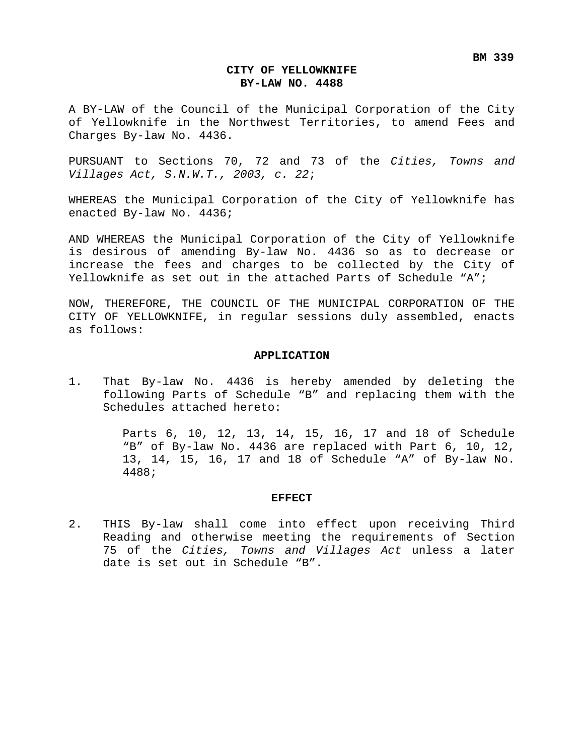### **CITY OF YELLOWKNIFE BY-LAW NO. 4488**

A BY-LAW of the Council of the Municipal Corporation of the City of Yellowknife in the Northwest Territories, to amend Fees and Charges By-law No. 4436.

PURSUANT to Sections 70, 72 and 73 of the *Cities, Towns and Villages Act, S.N.W.T., 2003, c. 22*;

WHEREAS the Municipal Corporation of the City of Yellowknife has enacted By-law No. 4436;

AND WHEREAS the Municipal Corporation of the City of Yellowknife is desirous of amending By-law No. 4436 so as to decrease or increase the fees and charges to be collected by the City of Yellowknife as set out in the attached Parts of Schedule "A";

NOW, THEREFORE, THE COUNCIL OF THE MUNICIPAL CORPORATION OF THE CITY OF YELLOWKNIFE, in regular sessions duly assembled, enacts as follows:

### **APPLICATION**

1. That By-law No. 4436 is hereby amended by deleting the following Parts of Schedule "B" and replacing them with the Schedules attached hereto:

> Parts 6, 10, 12, 13, 14, 15, 16, 17 and 18 of Schedule "B" of By-law No. 4436 are replaced with Part 6, 10, 12, 13, 14, 15, 16, 17 and 18 of Schedule "A" of By-law No. 4488;

#### **EFFECT**

2. THIS By-law shall come into effect upon receiving Third Reading and otherwise meeting the requirements of Section 75 of the *Cities, Towns and Villages Act* unless a later date is set out in Schedule "B".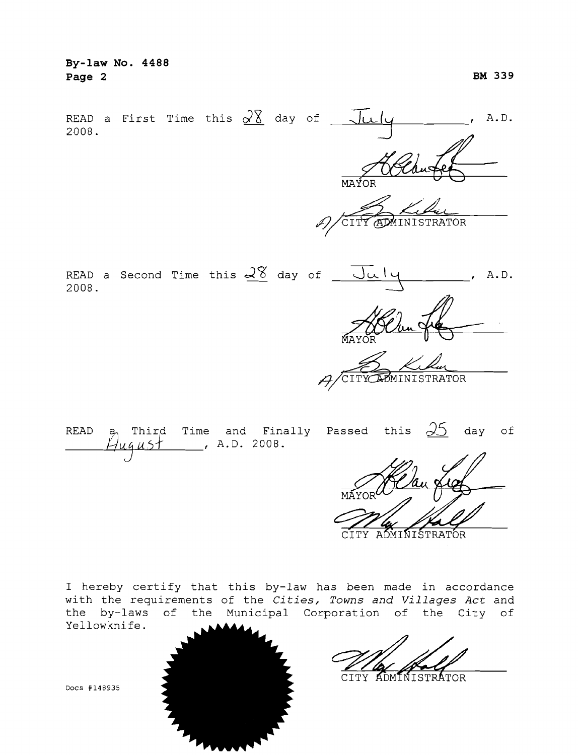| By-law No. 4488<br>Page 2                                                                                                                           | BM 339 |
|-----------------------------------------------------------------------------------------------------------------------------------------------------|--------|
| READ a First Time this $\frac{\sqrt{8}}{2}$ day of $\frac{\sqrt{4}}{2}$<br>2008.                                                                    | A.D.   |
| MAYOR<br>CITY ADMINISTRATOR<br>I)                                                                                                                   |        |
| READ a Second Time this $\frac{\sqrt{8}}{2}$ day of $\frac{\sqrt{4}}{2}$<br>2008.<br>MAYOR                                                          | A.D.   |
| CITY ADMINISTRATOR                                                                                                                                  |        |
| $\beta_1$ Third Time and Finally Passed this $\frac{\sqrt{5}}{\sqrt{5}}$ day of<br>READ<br>$\frac{1}{2}$ , A.D. 2008.<br>Hugust<br>$\mathcal{H}$ lo |        |

ADMINISTRATOR CTTY.

I hereby certify that this by-law has been made in accordance with the requirements of the *Cities, Towns and Villages Act* and the by-laws of the Municipal Corporation of the City of<br>Yellowknife.

CITY ADMINISTRATOR



Docs #148935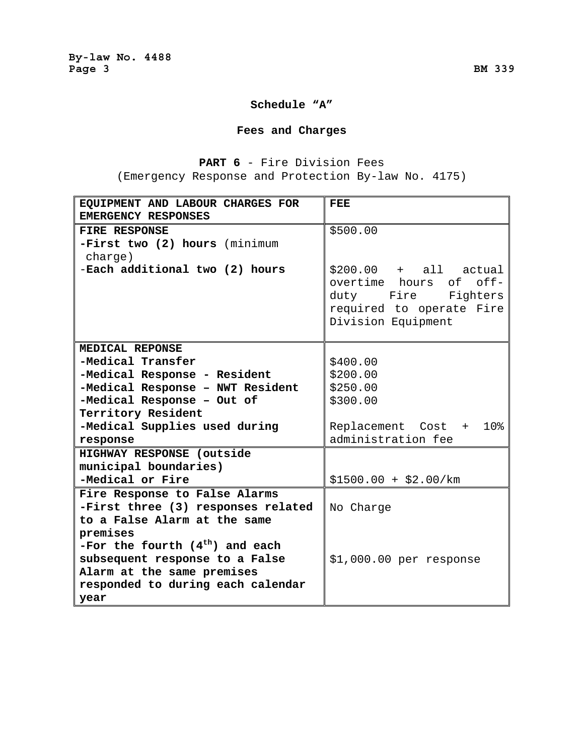## **Schedule "A"**

## **Fees and Charges**

## **PART 6** - Fire Division Fees (Emergency Response and Protection By-law No. 4175)

| EQUIPMENT AND LABOUR CHARGES FOR<br>EMERGENCY RESPONSES   | FEE                                                                                                                         |
|-----------------------------------------------------------|-----------------------------------------------------------------------------------------------------------------------------|
| FIRE RESPONSE<br>-First two (2) hours (minimum<br>charge) | \$500.00                                                                                                                    |
| -Each additional two (2) hours                            | $$200.00 + all actual$<br>overtime hours of off-<br>duty Fire<br>Fighters<br>required to operate Fire<br>Division Equipment |
| MEDICAL REPONSE                                           |                                                                                                                             |
| -Medical Transfer                                         | \$400.00                                                                                                                    |
| -Medical Response - Resident                              | \$200.00                                                                                                                    |
| -Medical Response - NWT Resident                          | \$250.00                                                                                                                    |
| -Medical Response - Out of                                | \$300.00                                                                                                                    |
| Territory Resident                                        |                                                                                                                             |
| -Medical Supplies used during                             | Replacement Cost +<br>10%                                                                                                   |
| response                                                  | administration fee                                                                                                          |
| HIGHWAY RESPONSE (outside                                 |                                                                                                                             |
| municipal boundaries)                                     |                                                                                                                             |
| -Medical or Fire                                          | $$1500.00 + $2.00/km$                                                                                                       |
| Fire Response to False Alarms                             |                                                                                                                             |
| -First three (3) responses related                        | No Charge                                                                                                                   |
| to a False Alarm at the same                              |                                                                                                                             |
| premises                                                  |                                                                                                                             |
| -For the fourth $(4th)$ and each                          |                                                                                                                             |
| subsequent response to a False                            | $$1,000.00$ per response                                                                                                    |
| Alarm at the same premises                                |                                                                                                                             |
| responded to during each calendar                         |                                                                                                                             |
| year                                                      |                                                                                                                             |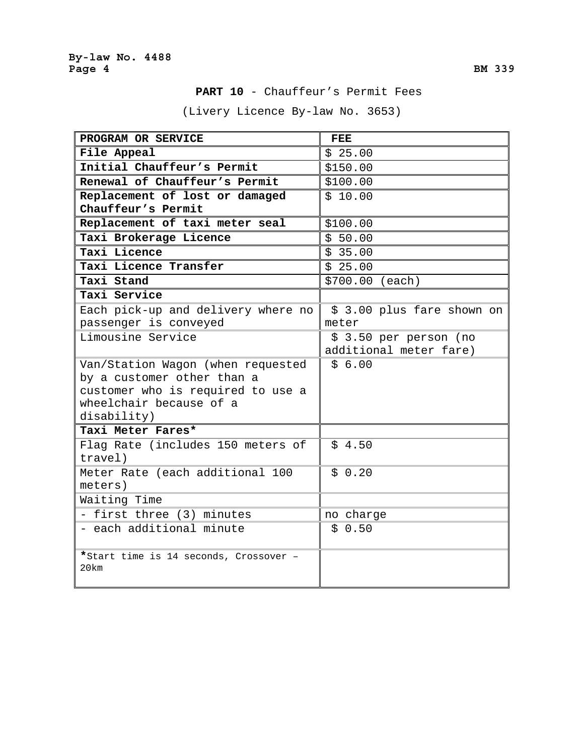(Livery Licence By-law No. 3653)

| PROGRAM OR SERVICE                             | FEE                        |
|------------------------------------------------|----------------------------|
| File Appeal                                    | \$25.00                    |
| Initial Chauffeur's Permit                     | \$150.00                   |
| Renewal of Chauffeur's Permit                  | \$100.00                   |
| Replacement of lost or damaged                 | \$10.00                    |
| Chauffeur's Permit                             |                            |
| Replacement of taxi meter seal                 | \$100.00                   |
| Taxi Brokerage Licence                         | \$50.00                    |
| Taxi Licence                                   | \$35.00                    |
| Taxi Licence Transfer                          | \$25.00                    |
| Taxi Stand                                     | \$700.00 (each)            |
| Taxi Service                                   |                            |
| Each pick-up and delivery where no             | \$ 3.00 plus fare shown on |
| passenger is conveyed                          | meter                      |
| Limousine Service                              | $$3.50$ per person (no     |
|                                                | additional meter fare)     |
| Van/Station Wagon (when requested              | \$6.00                     |
| by a customer other than a                     |                            |
| customer who is required to use a              |                            |
| wheelchair because of a                        |                            |
| disability)                                    |                            |
| Taxi Meter Fares*                              |                            |
| Flag Rate (includes 150 meters of              | \$4.50                     |
| travel)                                        |                            |
| Meter Rate (each additional 100                | \$0.20                     |
| meters)                                        |                            |
| Waiting Time                                   |                            |
| - first three (3) minutes                      | no charge                  |
| - each additional minute                       | \$0.50                     |
| *Start time is 14 seconds, Crossover -<br>20km |                            |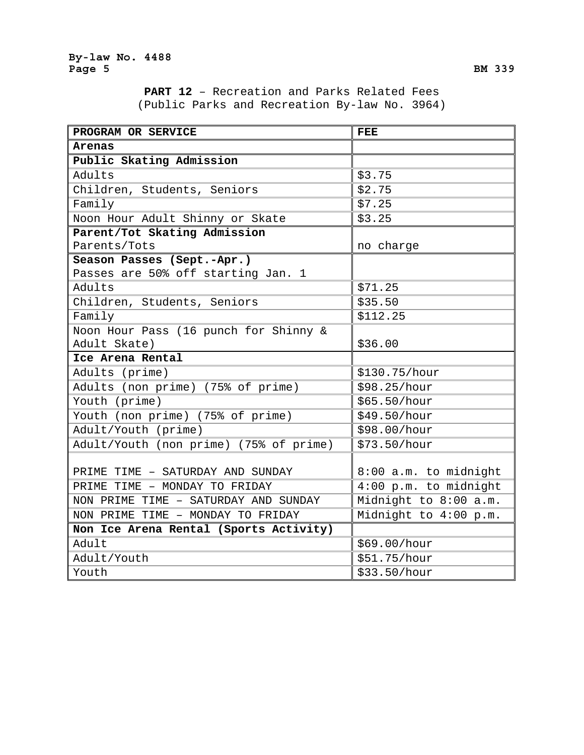**PART 12** – Recreation and Parks Related Fees (Public Parks and Recreation By-law No. 3964)

| PROGRAM OR SERVICE                     | <b>FEE</b>            |
|----------------------------------------|-----------------------|
| Arenas                                 |                       |
| Public Skating Admission               |                       |
| Adults                                 | \$3.75                |
| Children, Students, Seniors            | \$2.75                |
| Family                                 | \$7.25                |
| Noon Hour Adult Shinny or Skate        | \$3.25                |
| Parent/Tot Skating Admission           |                       |
| Parents/Tots                           | no charge             |
| Season Passes (Sept.-Apr.)             |                       |
| Passes are 50% off starting Jan. 1     |                       |
| Adults                                 | \$71.25               |
| Children, Students, Seniors            | \$35.50               |
| Family                                 | \$112.25              |
| Noon Hour Pass (16 punch for Shinny &  |                       |
| Adult Skate)                           | \$36.00               |
| Ice Arena Rental                       |                       |
| Adults (prime)                         | \$130.75/hour         |
| Adults (non prime) (75% of prime)      | \$98.25/hour          |
| Youth (prime)                          | \$65.50/hour          |
| Youth (non prime) (75% of prime)       | \$49.50/hour          |
| Adult/Youth (prime)                    | \$98.00/hour          |
| Adult/Youth (non prime) (75% of prime) | \$73.50/hour          |
|                                        |                       |
| PRIME TIME - SATURDAY AND SUNDAY       | 8:00 a.m. to midnight |
| PRIME TIME - MONDAY TO FRIDAY          | 4:00 p.m. to midnight |
| NON PRIME TIME - SATURDAY AND SUNDAY   | Midnight to 8:00 a.m. |
| NON PRIME TIME - MONDAY TO FRIDAY      | Midnight to 4:00 p.m. |
| Non Ice Arena Rental (Sports Activity) |                       |
| Adult                                  | \$69.00/hour          |
| Adult/Youth                            | \$51.75/hour          |
| Youth                                  | \$33.50/hour          |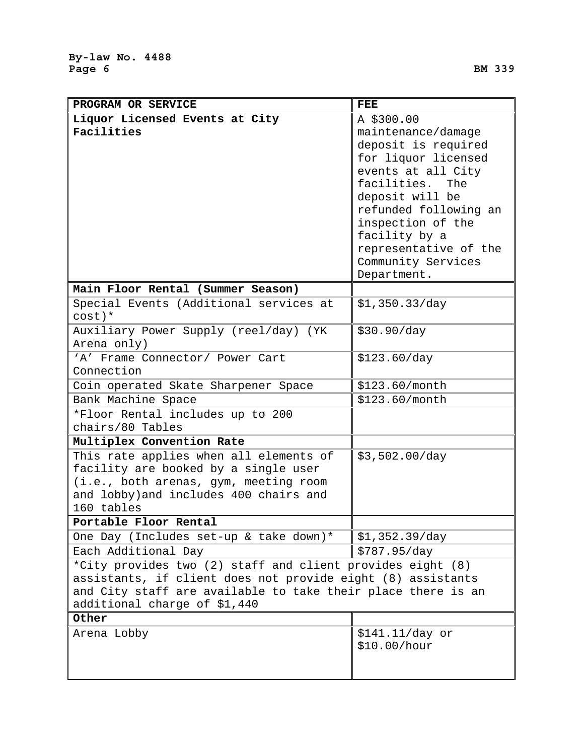| PROGRAM OR SERVICE                                                                                                          | <b>FEE</b>                        |
|-----------------------------------------------------------------------------------------------------------------------------|-----------------------------------|
| Liquor Licensed Events at City                                                                                              | A \$300.00                        |
| Facilities                                                                                                                  | maintenance/damage                |
|                                                                                                                             | deposit is required               |
|                                                                                                                             | for liquor licensed               |
|                                                                                                                             | events at all City                |
|                                                                                                                             | facilities.<br>The                |
|                                                                                                                             | deposit will be                   |
|                                                                                                                             | refunded following an             |
|                                                                                                                             | inspection of the                 |
|                                                                                                                             | facility by a                     |
|                                                                                                                             | representative of the             |
|                                                                                                                             | Community Services<br>Department. |
| Main Floor Rental (Summer Season)                                                                                           |                                   |
| Special Events (Additional services at                                                                                      | \$1,350.33/day                    |
| $cost$ )*                                                                                                                   |                                   |
| Auxiliary Power Supply (reel/day) (YK                                                                                       | \$30.90/day                       |
| Arena only)                                                                                                                 |                                   |
| 'A' Frame Connector/ Power Cart                                                                                             | \$123.60/day                      |
| Connection                                                                                                                  |                                   |
| Coin operated Skate Sharpener Space                                                                                         | \$123.60/month                    |
| Bank Machine Space                                                                                                          | \$123.60/month                    |
| *Floor Rental includes up to 200                                                                                            |                                   |
| chairs/80 Tables                                                                                                            |                                   |
| Multiplex Convention Rate                                                                                                   |                                   |
| This rate applies when all elements of                                                                                      | \$3,502.00/day                    |
| facility are booked by a single user                                                                                        |                                   |
| (i.e., both arenas, gym, meeting room                                                                                       |                                   |
| and lobby) and includes 400 chairs and                                                                                      |                                   |
| 160 tables<br>Portable Floor Rental                                                                                         |                                   |
| One Day (Includes set-up & take down)*                                                                                      |                                   |
|                                                                                                                             | \$1,352.39/day                    |
| Each Additional Day                                                                                                         | \$787.95/day                      |
| *City provides two (2) staff and client provides eight (8)                                                                  |                                   |
| assistants, if client does not provide eight (8) assistants<br>and City staff are available to take their place there is an |                                   |
| additional charge of \$1,440                                                                                                |                                   |
| Other                                                                                                                       |                                   |
| Arena Lobby                                                                                                                 | $$141.11/day$ or                  |
|                                                                                                                             | \$10.00/hour                      |
|                                                                                                                             |                                   |
|                                                                                                                             |                                   |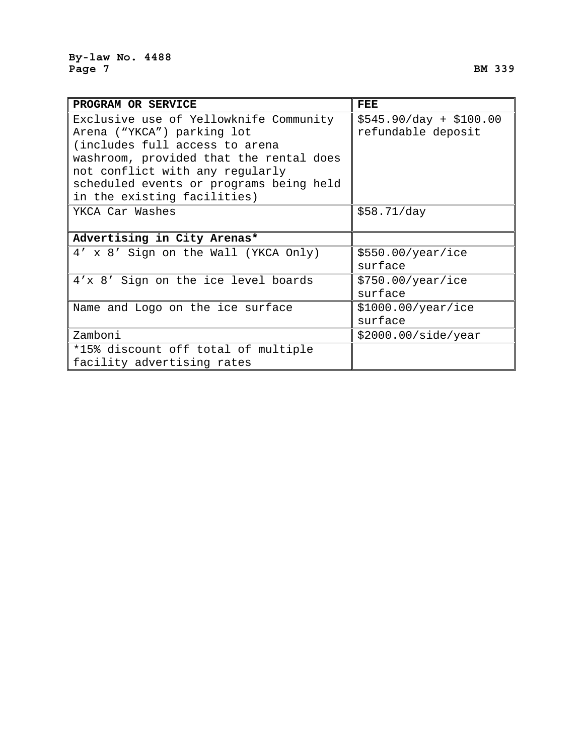| PROGRAM OR SERVICE                      | FEE                     |
|-----------------------------------------|-------------------------|
| Exclusive use of Yellowknife Community  | $$545.90/day + $100.00$ |
| Arena ("YKCA") parking lot              | refundable deposit      |
| (includes full access to arena          |                         |
| washroom, provided that the rental does |                         |
| not conflict with any regularly         |                         |
| scheduled events or programs being held |                         |
| in the existing facilities)             |                         |
| YKCA Car Washes                         | \$58.71/day             |
|                                         |                         |
| Advertising in City Arenas*             |                         |
| 4' x 8' Sign on the Wall (YKCA Only)    | \$550.00/year/ice       |
|                                         | surface                 |
| 4'x 8' Sign on the ice level boards     | \$750.00/year/ice       |
|                                         | surface                 |
| Name and Logo on the ice surface        | \$1000.00/year/ice      |
|                                         | surface                 |
| Zamboni                                 | \$2000.00/side/year     |
| *15% discount off total of multiple     |                         |
| facility advertising rates              |                         |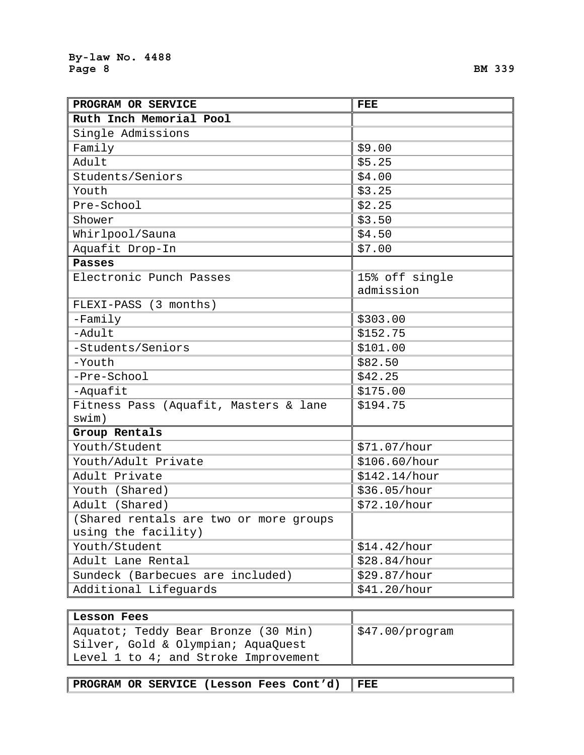r

| PROGRAM OR SERVICE                     | FEE            |
|----------------------------------------|----------------|
| Ruth Inch Memorial Pool                |                |
| Single Admissions                      |                |
| Family                                 | \$9.00         |
| Adult                                  | \$5.25         |
| Students/Seniors                       | \$4.00         |
| Youth                                  | \$3.25         |
| Pre-School                             | \$2.25         |
| Shower                                 | \$3.50         |
| Whirlpool/Sauna                        | \$4.50         |
| Aquafit Drop-In                        | \$7.00         |
| <b>Passes</b>                          |                |
| Electronic Punch Passes                | 15% off single |
|                                        | admission      |
| FLEXI-PASS (3 months)                  |                |
| $-Family$                              | \$303.00       |
| -Adult                                 | \$152.75       |
| -Students/Seniors                      | \$101.00       |
| -Youth                                 | \$82.50        |
| -Pre-School                            | \$42.25        |
| -Aquafit                               | \$175.00       |
| Fitness Pass (Aquafit, Masters & lane  | \$194.75       |
| swim)                                  |                |
| Group Rentals                          |                |
| Youth/Student                          | \$71.07/hour   |
| Youth/Adult Private                    | \$106.60/hour  |
| Adult Private                          | \$142.14/hour  |
| Youth (Shared)                         | \$36.05/hour   |
| Adult (Shared)                         | \$72.10/hour   |
| (Shared rentals are two or more groups |                |
| using the facility)                    |                |
| Youth/Student                          | \$14.42/hour   |
| Adult Lane Rental                      | \$28.84/hour   |
| Sundeck (Barbecues are included)       | \$29.87/hour   |
| Additional Lifeguards                  | \$41.20/hour   |

| Lesson Fees                          |                                  |
|--------------------------------------|----------------------------------|
| Aquatot; Teddy Bear Bronze (30 Min)  | $\frac{1547.00}{\text{program}}$ |
| Silver, Gold & Olympian; AquaQuest   |                                  |
| Level 1 to 4; and Stroke Improvement |                                  |

| PROGRAM OR SERVICE (Lesson Fees Cont'd) FEE |  |
|---------------------------------------------|--|
|---------------------------------------------|--|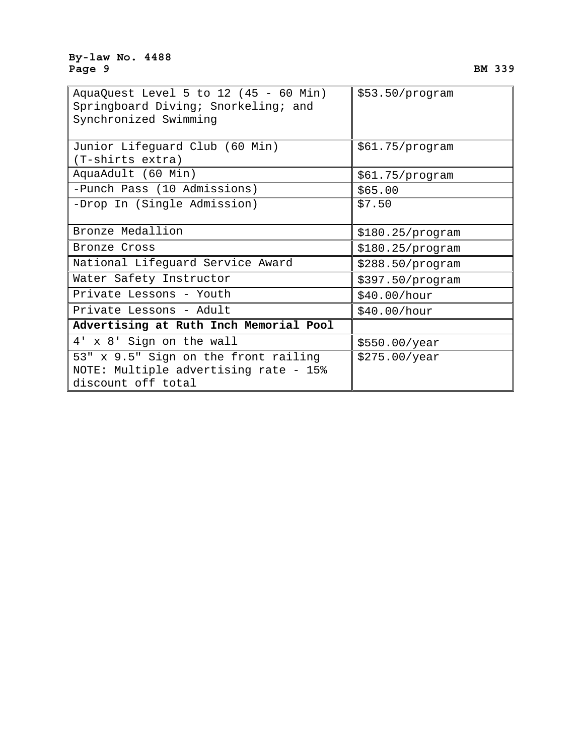| AquaQuest Level 5 to 12 (45 - 60 Min)<br>Springboard Diving; Snorkeling; and<br>Synchronized Swimming | \$53.50/program  |
|-------------------------------------------------------------------------------------------------------|------------------|
| Junior Lifeguard Club (60 Min)                                                                        | \$61.75/program  |
| (T-shirts extra)                                                                                      |                  |
| AquaAdult (60 Min)                                                                                    | \$61.75/program  |
| -Punch Pass (10 Admissions)                                                                           | \$65.00          |
| -Drop In (Single Admission)                                                                           | \$7.50           |
| Bronze Medallion                                                                                      | \$180.25/program |
| Bronze Cross                                                                                          | \$180.25/program |
| National Lifeguard Service Award                                                                      | \$288.50/program |
| Water Safety Instructor                                                                               | \$397.50/program |
| Private Lessons - Youth                                                                               | \$40.00/hour     |
| Private Lessons - Adult                                                                               | \$40.00/hour     |
| Advertising at Ruth Inch Memorial Pool                                                                |                  |
| 4' x 8' Sign on the wall                                                                              | \$550.00/year    |
| 53" x 9.5" Sign on the front railing                                                                  | \$275.00/year    |
| NOTE: Multiple advertising rate - 15%                                                                 |                  |
| discount off total                                                                                    |                  |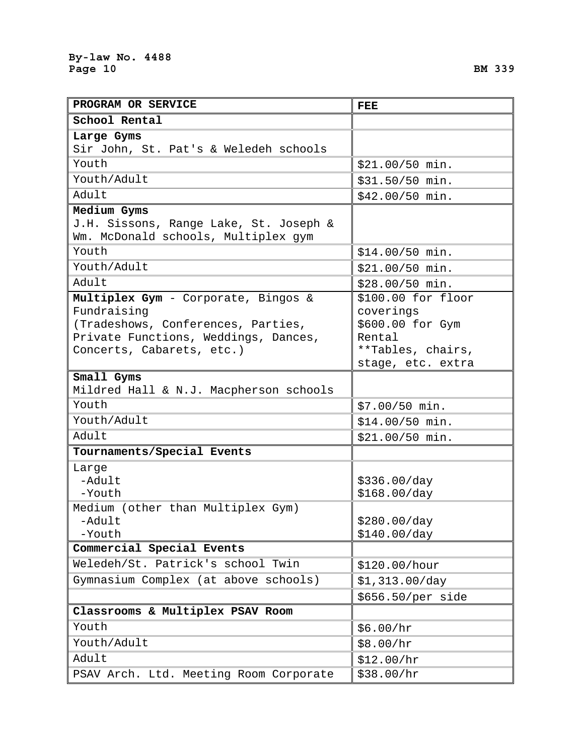| PROGRAM OR SERVICE                     | <b>FEE</b>       |
|----------------------------------------|------------------|
| School Rental                          |                  |
| Large Gyms                             |                  |
| Sir John, St. Pat's & Weledeh schools  |                  |
| Youth                                  | \$21.00/50 min.  |
| Youth/Adult                            | \$31.50/50 min.  |
| Adult                                  | $$42.00/50$ min. |
| Medium Gyms                            |                  |
| J.H. Sissons, Range Lake, St. Joseph & |                  |
| Wm. McDonald schools, Multiplex qym    |                  |
| Youth                                  | $$14.00/50$ min. |
| Youth/Adult                            | \$21.00/50 min.  |
|                                        |                  |

| Youth/Adult                                                                                                                                                   | \$31.50/50 min.                                                                                         |
|---------------------------------------------------------------------------------------------------------------------------------------------------------------|---------------------------------------------------------------------------------------------------------|
| Adult                                                                                                                                                         | \$42.00/50 min.                                                                                         |
| Medium Gyms<br>J.H. Sissons, Range Lake, St. Joseph &<br>Wm. McDonald schools, Multiplex gym                                                                  |                                                                                                         |
| Youth                                                                                                                                                         | \$14.00/50 min.                                                                                         |
| Youth/Adult                                                                                                                                                   | \$21.00/50 min.                                                                                         |
| Adult                                                                                                                                                         | \$28.00/50 min.                                                                                         |
| Multiplex Gym - Corporate, Bingos &<br>Fundraising<br>(Tradeshows, Conferences, Parties,<br>Private Functions, Weddings, Dances,<br>Concerts, Cabarets, etc.) | \$100.00 for floor<br>coverings<br>\$600.00 for Gym<br>Rental<br>**Tables, chairs,<br>stage, etc. extra |
| Small Gyms                                                                                                                                                    |                                                                                                         |
| Mildred Hall & N.J. Macpherson schools                                                                                                                        |                                                                                                         |
| Youth                                                                                                                                                         | \$7.00/50 min.                                                                                          |
| Youth/Adult                                                                                                                                                   | \$14.00/50 min.                                                                                         |
| Adult                                                                                                                                                         | \$21.00/50 min.                                                                                         |
| Tournaments/Special Events                                                                                                                                    |                                                                                                         |
| Large<br>-Adult<br>-Youth                                                                                                                                     | \$336.00/day<br>\$168.00/day                                                                            |
| Medium (other than Multiplex Gym)<br>-Adult<br>-Youth                                                                                                         | \$280.00/day<br>\$140.00/day                                                                            |
| Commercial Special Events                                                                                                                                     |                                                                                                         |
| Weledeh/St. Patrick's school Twin                                                                                                                             | \$120.00/hour                                                                                           |
| Gymnasium Complex (at above schools)                                                                                                                          | \$1,313.00/day                                                                                          |
|                                                                                                                                                               | \$656.50/per side                                                                                       |
| Classrooms & Multiplex PSAV Room                                                                                                                              |                                                                                                         |
| Youth                                                                                                                                                         | \$6.00/hr                                                                                               |
| Youth/Adult                                                                                                                                                   | \$8.00/hr                                                                                               |
| Adult                                                                                                                                                         | \$12.00/hr                                                                                              |

PSAV Arch. Ltd. Meeting Room Corporate \$38.00/hr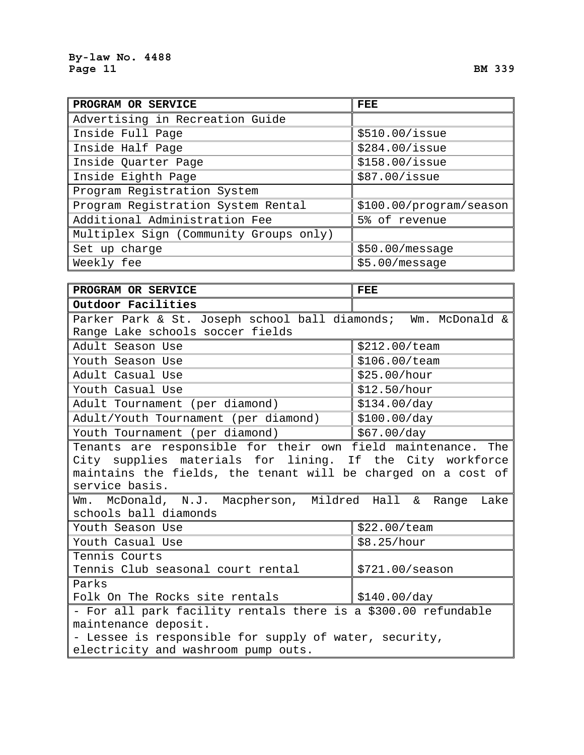| PROGRAM OR SERVICE                     | FEE                     |
|----------------------------------------|-------------------------|
| Advertising in Recreation Guide        |                         |
| Inside Full Page                       | \$510.00/issue          |
| Inside Half Page                       | \$284.00/issue          |
| Inside Quarter Page                    | \$158.00/issue          |
| Inside Eighth Page                     | \$87.00/issue           |
| Program Registration System            |                         |
| Program Registration System Rental     | \$100.00/program/season |
| Additional Administration Fee          | 5% of revenue           |
| Multiplex Sign (Community Groups only) |                         |
| Set up charge                          | \$50.00/message         |
| Weekly fee                             | \$5.00/message          |

| PROGRAM OR SERVICE                                                                                                                                                                                           | <b>FEE</b>                    |  |  |  |
|--------------------------------------------------------------------------------------------------------------------------------------------------------------------------------------------------------------|-------------------------------|--|--|--|
| Outdoor Facilities                                                                                                                                                                                           |                               |  |  |  |
| Parker Park & St. Joseph school ball diamonds; Wm. McDonald &                                                                                                                                                |                               |  |  |  |
| Range Lake schools soccer fields                                                                                                                                                                             |                               |  |  |  |
| Adult Season Use                                                                                                                                                                                             | \$212.00/team                 |  |  |  |
| Youth Season Use                                                                                                                                                                                             | \$106.00/team                 |  |  |  |
| Adult Casual Use                                                                                                                                                                                             | \$25.00/hour                  |  |  |  |
| Youth Casual Use                                                                                                                                                                                             | \$12.50/hour                  |  |  |  |
| Adult Tournament (per diamond)                                                                                                                                                                               | \$134.00/day                  |  |  |  |
| Adult/Youth Tournament (per diamond)                                                                                                                                                                         | \$100.00/day                  |  |  |  |
| Youth Tournament (per diamond)                                                                                                                                                                               | $\frac{1}{2}$ \$67.00/day     |  |  |  |
| Tenants are responsible for their own field maintenance. The<br>City supplies materials for lining. If the City workforce<br>maintains the fields, the tenant will be charged on a cost of<br>service basis. |                               |  |  |  |
| Wm. McDonald, N.J. Macpherson, Mildred Hall & Range Lake<br>schools ball diamonds                                                                                                                            |                               |  |  |  |
| Youth Season Use                                                                                                                                                                                             | \$22.00/team                  |  |  |  |
| Youth Casual Use                                                                                                                                                                                             | \$8.25/hour                   |  |  |  |
| Tennis Courts<br>Tennis Club seasonal court rental                                                                                                                                                           | \$721.00/ season              |  |  |  |
| Parks                                                                                                                                                                                                        |                               |  |  |  |
| Folk On The Rocks site rentals                                                                                                                                                                               | $\frac{15140.00}{\text{day}}$ |  |  |  |
| - For all park facility rentals there is a \$300.00 refundable<br>maintenance deposit.<br>- Lessee is responsible for supply of water, security,<br>electricity and washroom pump outs.                      |                               |  |  |  |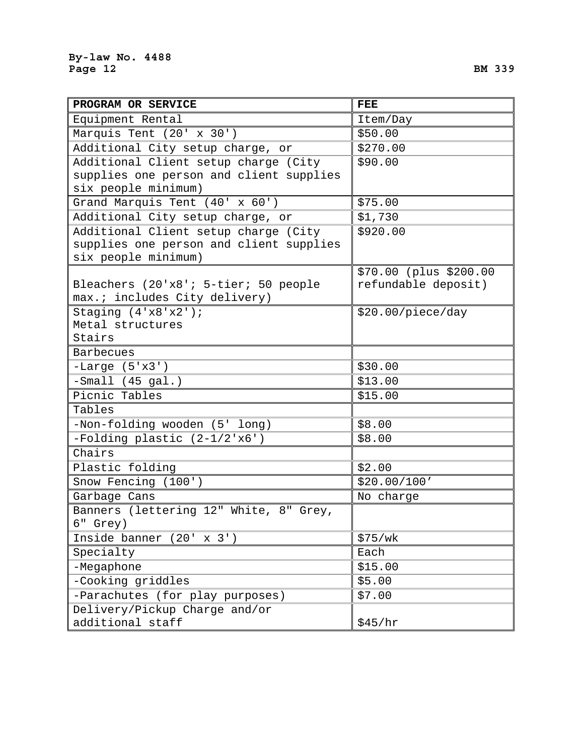| PROGRAM OR SERVICE                      | <b>FEE</b>             |  |
|-----------------------------------------|------------------------|--|
| Equipment Rental                        | Item/Day               |  |
| Marquis Tent (20' x 30')                | \$50.00                |  |
| Additional City setup charge, or        | \$270.00               |  |
| Additional Client setup charge (City    | \$90.00                |  |
| supplies one person and client supplies |                        |  |
| six people minimum)                     |                        |  |
| Grand Marquis Tent (40' x 60')          | \$75.00                |  |
| Additional City setup charge, or        | \$1,730                |  |
| Additional Client setup charge (City    | \$920.00               |  |
| supplies one person and client supplies |                        |  |
| six people minimum)                     |                        |  |
|                                         | \$70.00 (plus \$200.00 |  |
| Bleachers (20'x8'; 5-tier; 50 people    | refundable deposit)    |  |
| max.; includes City delivery)           |                        |  |
| Staging $(4'x8'x2')$ ;                  | \$20.00/piece/day      |  |
| Metal structures                        |                        |  |
| Stairs                                  |                        |  |
| <b>Barbecues</b>                        |                        |  |
| $-Large (5'x3')$                        | \$30.00                |  |
| $-Small (45 gal.)$                      | \$13.00                |  |
| Picnic Tables                           | \$15.00                |  |
| Tables                                  |                        |  |
| -Non-folding wooden (5' long)           | \$8.00                 |  |
| $-Folding plastic (2-1/2'x6')$          | \$8.00                 |  |
| Chairs                                  |                        |  |
| Plastic folding                         | \$2.00                 |  |
| Snow Fencing (100')                     | \$20.00/100'           |  |
| Garbage Cans                            | No charge              |  |
| Banners (lettering 12" White, 8" Grey,  |                        |  |
| 6" Grey)                                |                        |  |
| Inside banner $(20' \times 3')$         | \$75/wk                |  |
| Specialty                               | Each                   |  |
| -Megaphone                              | \$15.00                |  |
| -Cooking griddles                       | \$5.00                 |  |
| -Parachutes (for play purposes)         | \$7.00                 |  |
| Delivery/Pickup Charge and/or           |                        |  |
| additional staff                        | \$45/hr                |  |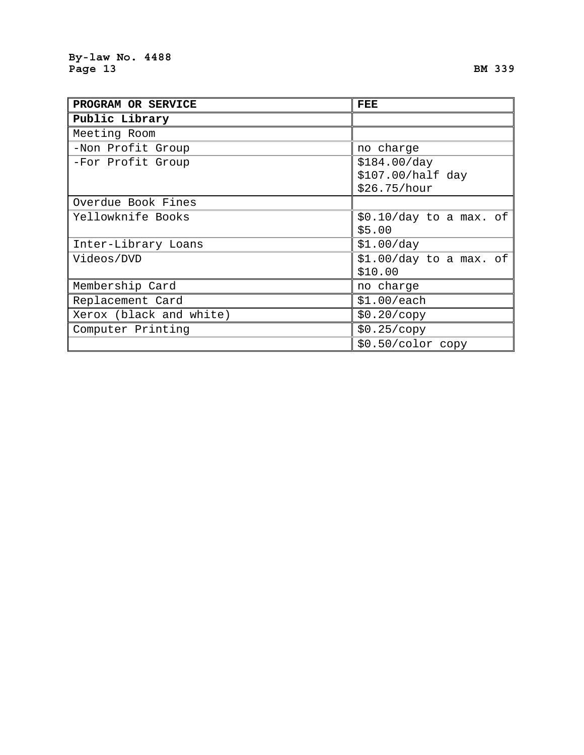| PROGRAM OR SERVICE      | FEE                     |
|-------------------------|-------------------------|
| Public Library          |                         |
| Meeting Room            |                         |
| -Non Profit Group       | no charge               |
| -For Profit Group       | \$184.00/day            |
|                         | \$107.00/half day       |
|                         | \$26.75/hour            |
| Overdue Book Fines      |                         |
| Yellowknife Books       | \$0.10/day to a max. of |
|                         | \$5.00                  |
| Inter-Library Loans     | \$1.00/day              |
| Videos/DVD              | \$1.00/day to a max. of |
|                         | \$10.00                 |
| Membership Card         | no charge               |
| Replacement Card        | \$1.00/each             |
| Xerox (black and white) | \$0.20/copy             |
| Computer Printing       | \$0.25/copy             |
|                         | $$0.50/color$ copy      |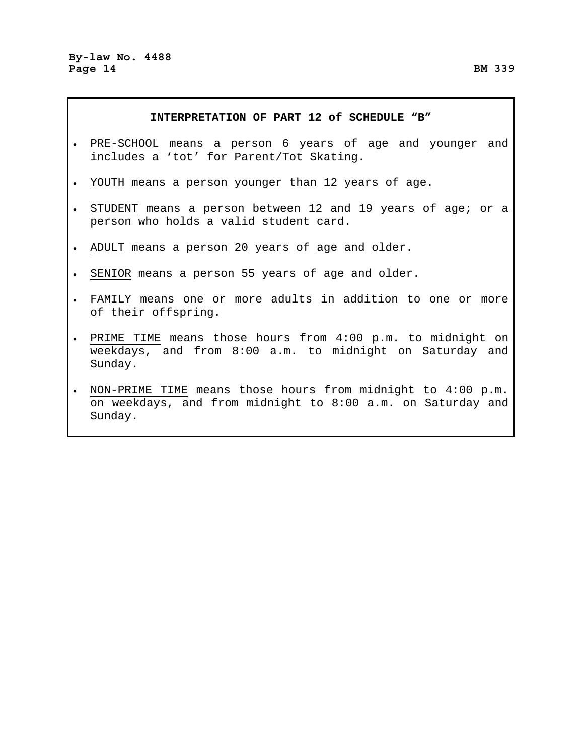### **INTERPRETATION OF PART 12 of SCHEDULE "B"**

- PRE-SCHOOL means a person 6 years of age and younger and includes a 'tot' for Parent/Tot Skating.
- YOUTH means a person younger than 12 years of age.
- STUDENT means a person between 12 and 19 years of age; or a person who holds a valid student card.
- ADULT means a person 20 years of age and older.
- SENIOR means a person 55 years of age and older.
- FAMILY means one or more adults in addition to one or more of their offspring.
- PRIME TIME means those hours from 4:00 p.m. to midnight on weekdays, and from 8:00 a.m. to midnight on Saturday and Sunday.
- NON-PRIME TIME means those hours from midnight to 4:00 p.m. on weekdays, and from midnight to 8:00 a.m. on Saturday and Sunday.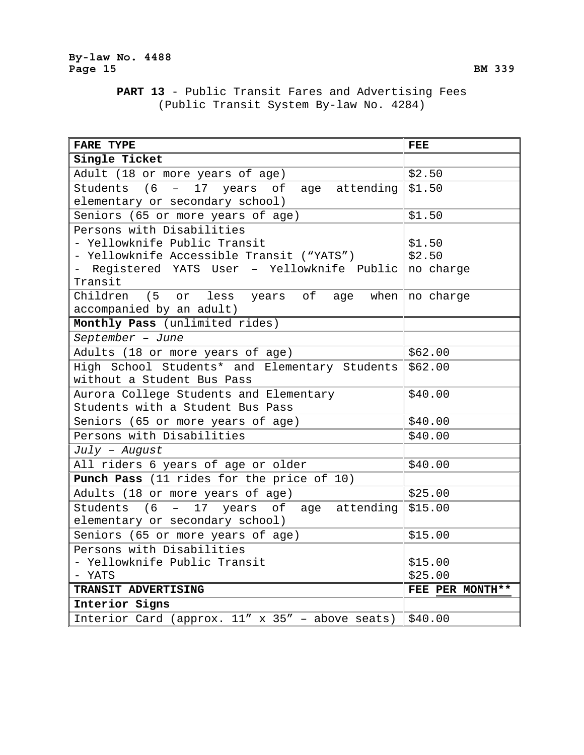# **PART 13** - Public Transit Fares and Advertising Fees (Public Transit System By-law No. 4284)

| <b>FARE TYPE</b>                                           | <b>FEE</b>             |
|------------------------------------------------------------|------------------------|
| Single Ticket                                              |                        |
| Adult (18 or more years of age)                            | \$2.50                 |
| Students (6<br>- 17 years of age attending                 | \$1.50                 |
| elementary or secondary school)                            |                        |
| Seniors (65 or more years of age)                          | \$1.50                 |
| Persons with Disabilities                                  |                        |
| - Yellowknife Public Transit                               | \$1.50                 |
| - Yellowknife Accessible Transit ("YATS")                  | \$2.50                 |
| - Registered YATS User - Yellowknife Public no charge      |                        |
| Transit                                                    |                        |
| Children (5<br>less years of age<br>or                     | when $\vert$ no charge |
| accompanied by an adult)                                   |                        |
| Monthly Pass (unlimited rides)                             |                        |
| September - June                                           |                        |
| Adults (18 or more years of age)                           | \$62.00                |
| High School Students* and Elementary Students              | \$62.00                |
| without a Student Bus Pass                                 |                        |
| Aurora College Students and Elementary                     | \$40.00                |
| Students with a Student Bus Pass                           |                        |
| Seniors (65 or more years of age)                          | \$40.00                |
| Persons with Disabilities                                  | \$40.00                |
| $July - August$                                            |                        |
| All riders 6 years of age or older                         | \$40.00                |
| Punch Pass (11 rides for the price of 10)                  |                        |
| Adults (18 or more years of age)                           | \$25.00                |
| Students (6 - 17 years of age attending                    | \$15.00                |
| elementary or secondary school)                            |                        |
| Seniors (65 or more years of age)                          | \$15.00                |
| Persons with Disabilities                                  |                        |
| - Yellowknife Public Transit                               | \$15.00                |
| - YATS                                                     | \$25.00                |
| TRANSIT ADVERTISING                                        | FEE PER MONTH**        |
| Interior Signs                                             |                        |
| Interior Card (approx. 11" x 35" - above seats) $  $40.00$ |                        |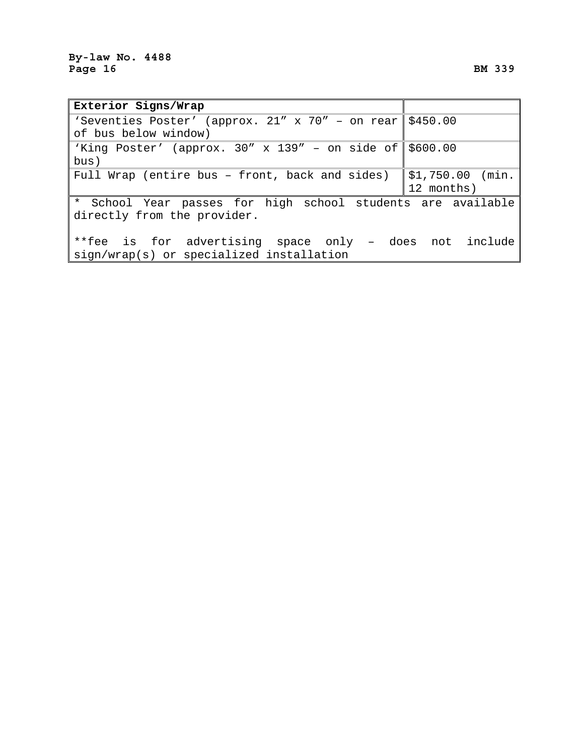| Exterior Signs/Wrap                                              |                   |
|------------------------------------------------------------------|-------------------|
| 'Seventies Poster' (approx. 21" x 70" - on rear \$450.00         |                   |
| of bus below window)                                             |                   |
| 'King Poster' (approx. $30'' \times 139'' -$ on side of \$600.00 |                   |
| bus)                                                             |                   |
| Full Wrap (entire bus - front, back and sides)                   | $$1,750.00$ (min. |
|                                                                  | 12 months)        |
| * School Year passes for high school students are available      |                   |
| directly from the provider.                                      |                   |
|                                                                  |                   |
| **fee is for advertising space only - does not include           |                   |
| sign/wrap(s) or specialized installation                         |                   |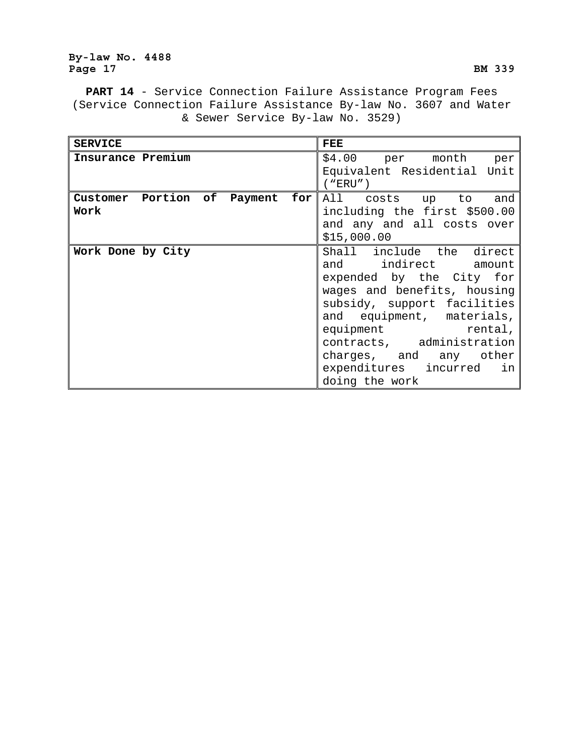## **By-law No. 4488**  Page 17 BM 339

**PART 14** - Service Connection Failure Assistance Program Fees (Service Connection Failure Assistance By-law No. 3607 and Water & Sewer Service By-law No. 3529)

| <b>SERVICE</b>                          | <b>FEE</b>                                                                                                                                                                                                                                                                                          |
|-----------------------------------------|-----------------------------------------------------------------------------------------------------------------------------------------------------------------------------------------------------------------------------------------------------------------------------------------------------|
| Insurance Premium                       | \$4.00 per month per<br>Equivalent Residential Unit                                                                                                                                                                                                                                                 |
|                                         | ("ERU")                                                                                                                                                                                                                                                                                             |
| Customer Portion of Payment for<br>Work | All costs up to and<br>including the first \$500.00<br>and any and all costs over<br>\$15,000.00                                                                                                                                                                                                    |
| Work Done by City                       | Shall include the direct<br>and indirect amount<br>expended by the City for<br>wages and benefits, housing<br>subsidy, support facilities<br>and equipment, materials,<br>equipment rental,<br>contracts, administration<br>charges, and any other<br>expenditures incurred<br>in<br>doing the work |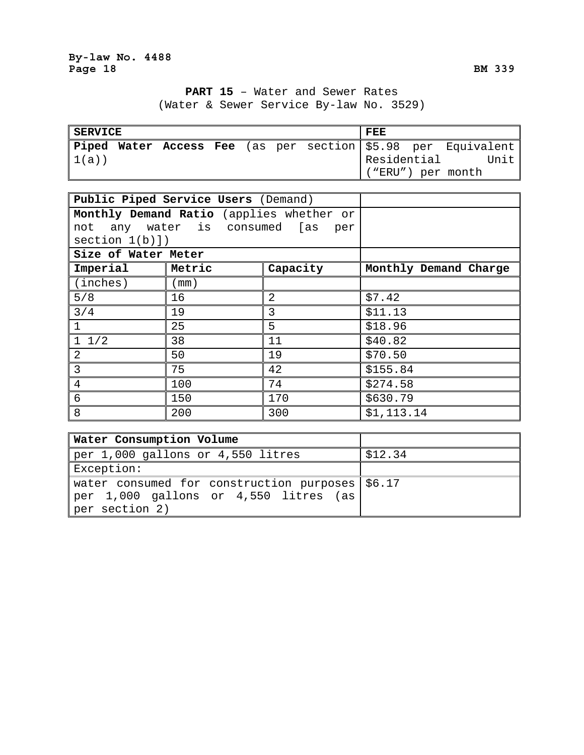# **PART 15** – Water and Sewer Rates (Water & Sewer Service By-law No. 3529)

| <b>SERVICE</b> |  |  |  | FEE         |                                                              |
|----------------|--|--|--|-------------|--------------------------------------------------------------|
|                |  |  |  |             | Piped Water Access Fee (as per section \$5.98 per Equivalent |
| 1(a))          |  |  |  | Residential | Unit                                                         |
|                |  |  |  |             | ("ERU") per month                                            |

|                     | Public Piped Service Users (Demand)      |                |                       |
|---------------------|------------------------------------------|----------------|-----------------------|
|                     | Monthly Demand Ratio (applies whether or |                |                       |
|                     | not any water is consumed [as            | per            |                       |
| section 1(b)]       |                                          |                |                       |
| Size of Water Meter |                                          |                |                       |
| Imperial            | Metric                                   | Capacity       | Monthly Demand Charge |
| (inches)            | (mm )                                    |                |                       |
| 5/8                 | 16                                       | $\overline{2}$ | \$7.42                |
| 3/4                 | 19                                       | 3              | \$11.13               |
|                     | 25                                       | 5              | \$18.96               |
| $1 \t1/2$           | 38                                       | 11             | \$40.82               |
| 2                   | 50                                       | 19             | \$70.50               |
| $\overline{3}$      | 75                                       | 42             | \$155.84              |
| $\overline{4}$      | 100                                      | 74             | \$274.58              |
| 6                   | 150                                      | 170            | \$630.79              |
| 8                   | 200                                      | 300            | \$1,113.14            |

| <b>Water Consumption Volume</b>                 |         |
|-------------------------------------------------|---------|
| per 1,000 gallons or 4,550 litres               | \$12.34 |
| Exception:                                      |         |
| water consumed for construction purposes \$6.17 |         |
| per 1,000 gallons or 4,550 litres (as)          |         |
| per section 2)                                  |         |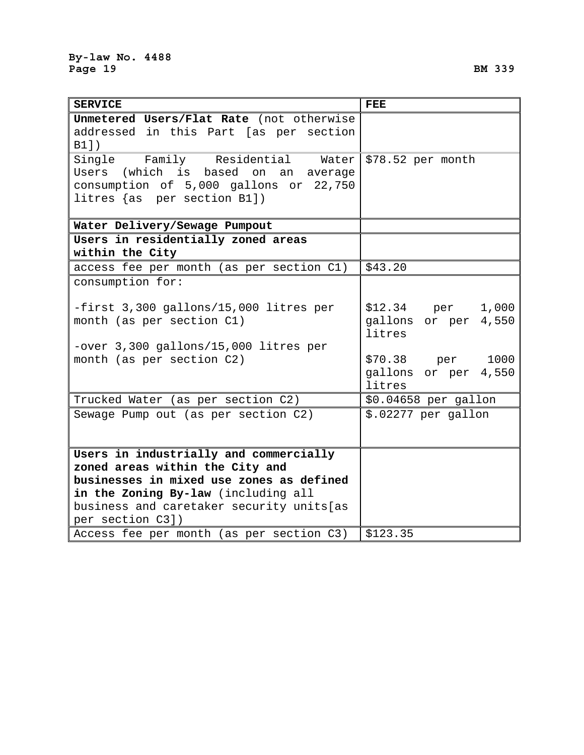| <b>SERVICE</b>                            | <b>FEE</b>           |
|-------------------------------------------|----------------------|
| Unmetered Users/Flat Rate (not otherwise  |                      |
| addressed in this Part [as per section    |                      |
| B1])                                      |                      |
| Single Family Residential<br>Water        | \$78.52 per month    |
| Users (which is based on<br>an<br>average |                      |
| consumption of 5,000 gallons or 22,750    |                      |
| litres $\{as\ per\ section\ B1\}$         |                      |
|                                           |                      |
| Water Delivery/Sewage Pumpout             |                      |
| Users in residentially zoned areas        |                      |
| within the City                           |                      |
| access fee per month (as per section C1)  | \$43.20              |
| consumption for:                          |                      |
|                                           |                      |
| -first 3,300 gallons/15,000 litres per    | \$12.34 per<br>1,000 |
| month (as per section C1)                 | gallons or per 4,550 |
|                                           | litres               |
| -over 3,300 gallons/15,000 litres per     |                      |
| month (as per section C2)                 | 1000<br>\$70.38 per  |
|                                           | gallons or per 4,550 |
|                                           | litres               |
| Trucked Water (as per section C2)         | \$0.04658 per gallon |
| Sewage Pump out (as per section C2)       | \$.02277 per gallon  |
|                                           |                      |
|                                           |                      |
| Users in industrially and commercially    |                      |
| zoned areas within the City and           |                      |
| businesses in mixed use zones as defined  |                      |
| in the Zoning By-law (including all       |                      |
| business and caretaker security units[as  |                      |
| per section C3])                          |                      |
| Access fee per month (as per section C3)  | \$123.35             |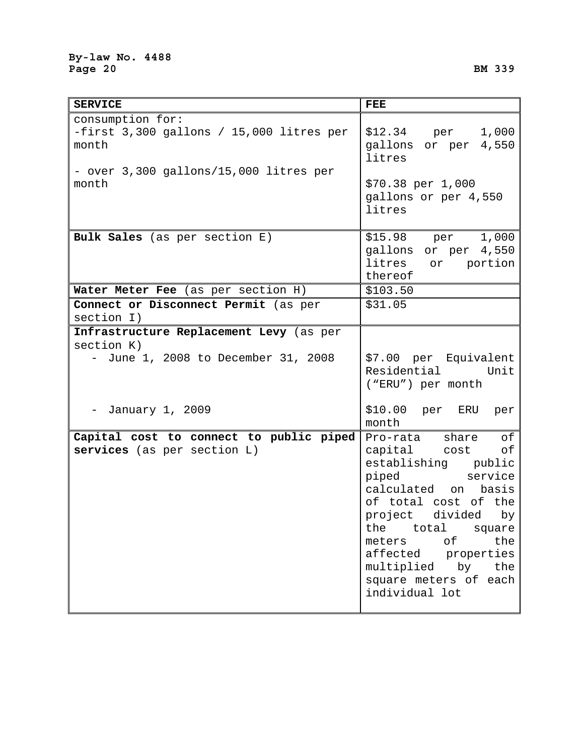| <b>SERVICE</b>                                                                                                           | <b>FEE</b>                                                                                                                                                                                                                                                                                                 |
|--------------------------------------------------------------------------------------------------------------------------|------------------------------------------------------------------------------------------------------------------------------------------------------------------------------------------------------------------------------------------------------------------------------------------------------------|
| consumption for:<br>-first 3,300 gallons / 15,000 litres per<br>month<br>- over 3,300 gallons/15,000 litres per<br>month | \$12.34 per 1,000<br>gallons or per 4,550<br>litres<br>\$70.38 per 1,000                                                                                                                                                                                                                                   |
|                                                                                                                          | gallons or per 4,550<br>litres                                                                                                                                                                                                                                                                             |
| Bulk Sales (as per section E)                                                                                            | \$15.98 per 1,000<br>gallons or per 4,550<br>litres or portion<br>thereof                                                                                                                                                                                                                                  |
| Water Meter Fee (as per section H)                                                                                       | \$103.50                                                                                                                                                                                                                                                                                                   |
| Connect or Disconnect Permit (as per<br>section I)                                                                       | \$31.05                                                                                                                                                                                                                                                                                                    |
| Infrastructure Replacement Levy (as per<br>section K)<br>June 1, 2008 to December 31, 2008<br>$-$                        | \$7.00 per Equivalent<br>Residential Unit<br>("ERU") per month                                                                                                                                                                                                                                             |
| January 1, 2009                                                                                                          | \$10.00 per ERU per<br>month                                                                                                                                                                                                                                                                               |
| Capital cost to connect to public piped<br>services (as per section L)                                                   | of<br>Pro-rata share<br>capital cost<br>оf<br>establishing public<br>piped service<br>calculated on<br>basis<br>of total cost of the<br>project divided<br>by<br>the<br>total<br>square  <br>of<br>the<br>meters<br>affected properties<br>multiplied<br>by the<br>square meters of each<br>individual lot |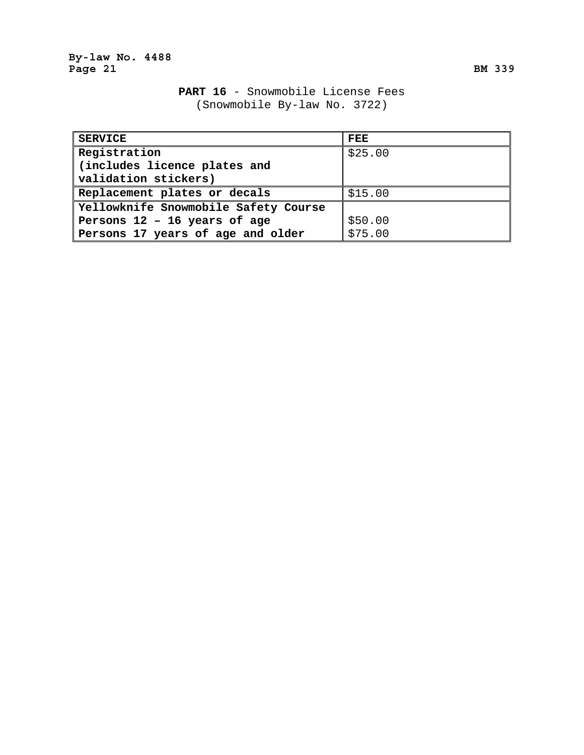# **PART 16** - Snowmobile License Fees (Snowmobile By-law No. 3722)

| <b>SERVICE</b>                       | FEE     |
|--------------------------------------|---------|
| Registration                         | \$25.00 |
| (includes licence plates and         |         |
| validation stickers)                 |         |
| Replacement plates or decals         | \$15.00 |
| Yellowknife Snowmobile Safety Course |         |
| Persons 12 - 16 years of age         | \$50.00 |
| Persons 17 years of age and older    | \$75.00 |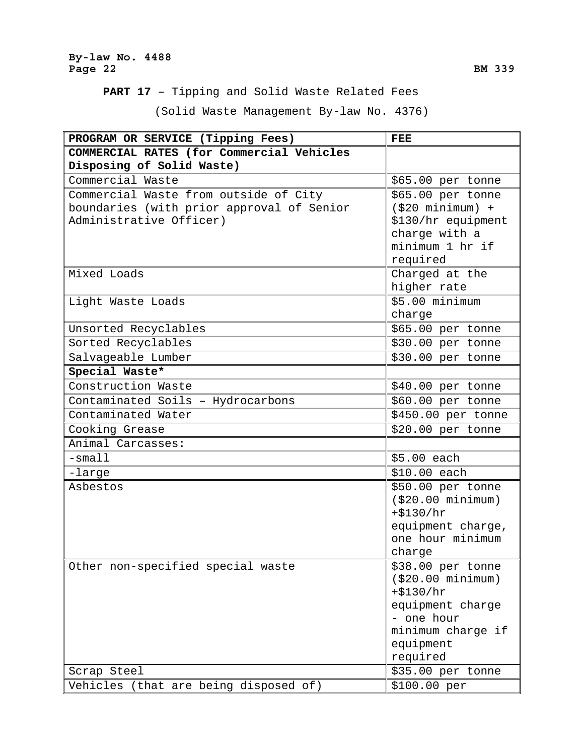## **By-law No. 4488**  Page 22 BM 339

**PART 17** – Tipping and Solid Waste Related Fees

(Solid Waste Management By-law No. 4376)

| PROGRAM OR SERVICE (Tipping Fees)         | <b>FEE</b>                      |
|-------------------------------------------|---------------------------------|
| COMMERCIAL RATES (for Commercial Vehicles |                                 |
| Disposing of Solid Waste)                 |                                 |
| Commercial Waste                          | \$65.00 per tonne               |
| Commercial Waste from outside of City     | \$65.00 per tonne               |
| boundaries (with prior approval of Senior | $( $20$ minimum) +              |
| Administrative Officer)                   | \$130/hr equipment              |
|                                           | charge with a                   |
|                                           | minimum 1 hr if                 |
|                                           | required                        |
| Mixed Loads                               | Charged at the                  |
|                                           | higher rate                     |
| Light Waste Loads                         | \$5.00 minimum                  |
|                                           | charge                          |
| Unsorted Recyclables                      | \$65.00 per tonne               |
| Sorted Recyclables                        | \$30.00 per tonne               |
| Salvageable Lumber                        | \$30.00 per tonne               |
| Special Waste*                            |                                 |
| Construction Waste                        | \$40.00 per tonne               |
| Contaminated Soils - Hydrocarbons         | \$60.00 per tonne               |
| Contaminated Water                        | \$450.00 per tonne              |
| Cooking Grease                            | \$20.00 per tonne               |
| Animal Carcasses:                         |                                 |
| $-s$ mall                                 | \$5.00 each                     |
| -large                                    | \$10.00 each                    |
| Asbestos                                  | \$50.00 per tonne               |
|                                           | ( \$20.00 minimum)              |
|                                           | $+ $130/hr$                     |
|                                           | equipment charge,               |
|                                           | one hour minimum                |
|                                           | charge                          |
| Other non-specified special waste         | \$38.00 per tonne               |
|                                           | (\$20.00 minimum)               |
|                                           | $+ $130/hr$                     |
|                                           | equipment charge                |
|                                           | - one hour<br>minimum charge if |
|                                           | equipment                       |
|                                           | required                        |
| Scrap Steel                               | \$35.00 per tonne               |
| Vehicles (that are being disposed of)     | \$100.00 per                    |
|                                           |                                 |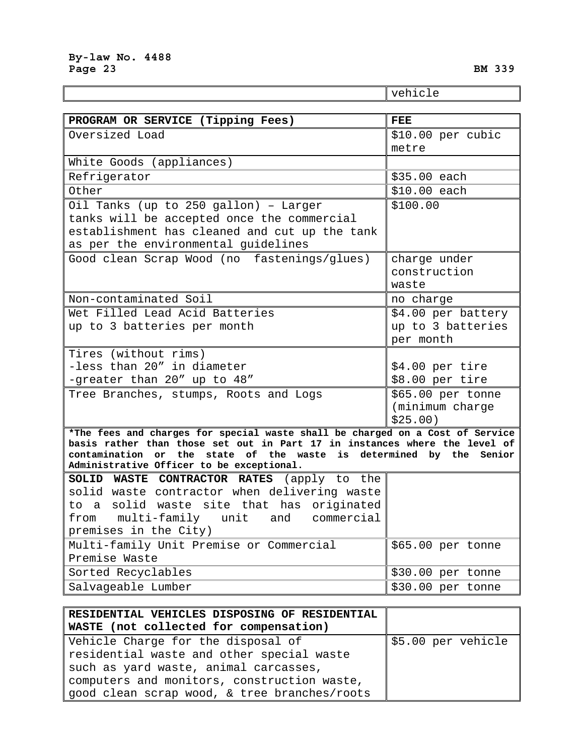|                                                                                            | vehicle                              |
|--------------------------------------------------------------------------------------------|--------------------------------------|
|                                                                                            |                                      |
| PROGRAM OR SERVICE (Tipping Fees)                                                          | <b>FEE</b>                           |
| Oversized Load                                                                             | \$10.00 per cubic                    |
|                                                                                            | metre                                |
| White Goods (appliances)                                                                   |                                      |
| Refrigerator                                                                               | \$35.00 each                         |
| Other                                                                                      | \$10.00 each                         |
| Oil Tanks (up to 250 gallon) - Larger                                                      | \$100.00                             |
| tanks will be accepted once the commercial                                                 |                                      |
| establishment has cleaned and cut up the tank                                              |                                      |
| as per the environmental guidelines                                                        |                                      |
| Good clean Scrap Wood (no fastenings/glues)                                                | charge under                         |
|                                                                                            | construction                         |
|                                                                                            | waste                                |
| Non-contaminated Soil                                                                      | no charge                            |
| Wet Filled Lead Acid Batteries                                                             | \$4.00 per battery                   |
| up to 3 batteries per month                                                                | up to 3 batteries                    |
|                                                                                            | per month                            |
| Tires (without rims)<br>-less than 20" in diameter                                         |                                      |
| -greater than 20" up to 48"                                                                | \$4.00 per tire<br>\$8.00 per tire   |
|                                                                                            |                                      |
| Tree Branches, stumps, Roots and Logs                                                      | \$65.00 per tonne<br>(minimum charge |
|                                                                                            | \$25.00)                             |
| *The fees and charges for special waste shall be charged on a Cost of Service              |                                      |
| basis rather than those set out in Part 17 in instances where the level of                 |                                      |
| contamination or the state of the waste is determined by the Senior                        |                                      |
| Administrative Officer to be exceptional.                                                  |                                      |
| SOLID WASTE CONTRACTOR RATES (apply to the<br>solid waste contractor when delivering waste |                                      |
| to a solid waste site that has originated                                                  |                                      |
| multi-family unit<br>and<br>from<br>commercial                                             |                                      |
| premises in the City)                                                                      |                                      |
| Multi-family Unit Premise or Commercial                                                    | \$65.00 per tonne                    |
| Premise Waste                                                                              |                                      |
| Sorted Recyclables                                                                         | \$30.00 per tonne                    |
| Salvageable Lumber                                                                         | \$30.00 per tonne                    |

| RESIDENTIAL VEHICLES DISPOSING OF RESIDENTIAL |                    |
|-----------------------------------------------|--------------------|
| WASTE (not collected for compensation)        |                    |
| Vehicle Charge for the disposal of            | \$5.00 per vehicle |
| residential waste and other special waste     |                    |
| such as yard waste, animal carcasses,         |                    |
| computers and monitors, construction waste,   |                    |
| good clean scrap wood, & tree branches/roots  |                    |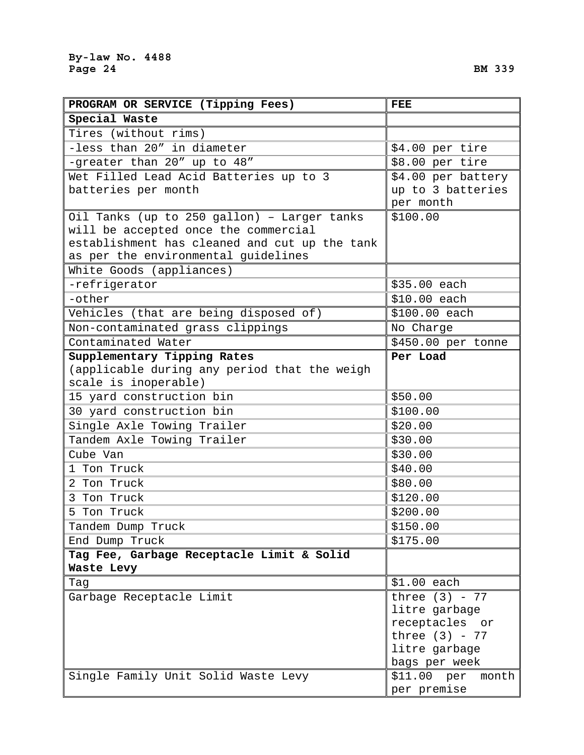**Special Waste** 

**PROGRAM OR SERVICE (Tipping Fees)** 

|   | FEE                                     |
|---|-----------------------------------------|
|   |                                         |
|   |                                         |
|   | $$4.00$ per tire                        |
|   | \$8.00 per tire                         |
| 3 | \$4.00 per battery<br>up to 3 batteries |
|   | per month                               |
|   | $\mathbf{a}$ and $\mathbf{a}$           |

| Tires (without rims)                          |                      |
|-----------------------------------------------|----------------------|
| -less than 20" in diameter                    | \$4.00 per tire      |
| -greater than 20" up to 48"                   | \$8.00 per tire      |
| Wet Filled Lead Acid Batteries up to 3        | \$4.00 per battery   |
| batteries per month                           | up to 3 batteries    |
|                                               | per month            |
| Oil Tanks (up to 250 gallon) - Larger tanks   | \$100.00             |
| will be accepted once the commercial          |                      |
| establishment has cleaned and cut up the tank |                      |
| as per the environmental guidelines           |                      |
| White Goods (appliances)                      |                      |
| -refrigerator                                 | \$35.00 each         |
| -other                                        | \$10.00 each         |
| Vehicles (that are being disposed of)         | \$100.00 each        |
| Non-contaminated grass clippings              | No Charge            |
| Contaminated Water                            | \$450.00 per tonne   |
| Supplementary Tipping Rates                   | Per Load             |
| (applicable during any period that the weigh  |                      |
| scale is inoperable)                          |                      |
| 15 yard construction bin                      | \$50.00              |
| 30 yard construction bin                      | \$100.00             |
| Single Axle Towing Trailer                    | \$20.00              |
| Tandem Axle Towing Trailer                    | \$30.00              |
| Cube Van                                      | \$30.00              |
| 1 Ton Truck                                   | \$40.00              |
| 2 Ton Truck                                   | \$80.00              |
| 3 Ton Truck                                   | \$120.00             |
| 5 Ton Truck                                   | \$200.00             |
| Tandem Dump Truck                             | \$150.00             |
| End Dump Truck                                | \$175.00             |
| Tag Fee, Garbage Receptacle Limit & Solid     |                      |
| Waste Levy                                    |                      |
| Tag                                           | $$1.00$ each         |
| Garbage Receptacle Limit                      | three $(3)$ - 77     |
|                                               | litre garbage        |
|                                               | receptacles or       |
|                                               | three $(3)$ - 77     |
|                                               | litre garbage        |
|                                               | bags per week        |
| Single Family Unit Solid Waste Levy           | \$11.00~per<br>month |
|                                               | per premise          |